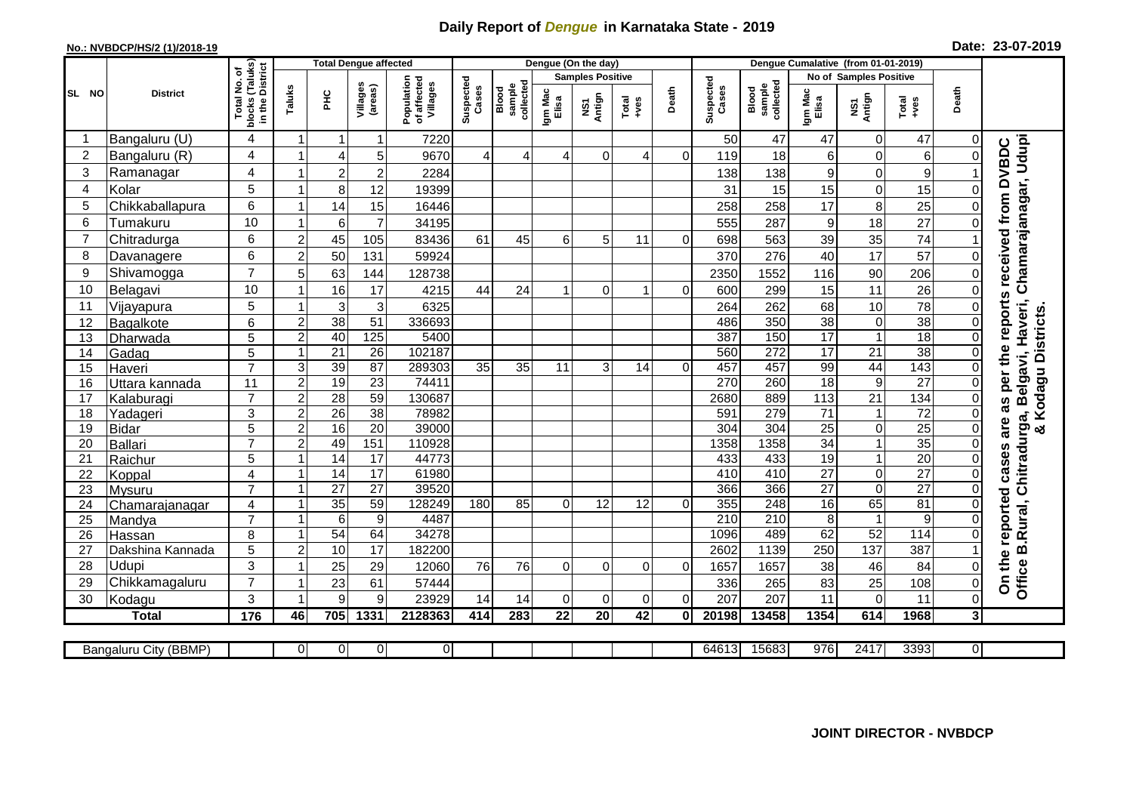## **Daily Report of** *Dengue* **in Karnataka State - 2019**

## **No.: NVBDCP/HS/2 (1)/2018-19**

|  |  | Date: 23-07-2019 |
|--|--|------------------|
|--|--|------------------|

|                |                       |                               | <b>Total Dengue affected</b> |                 |                     |                                       | Dengue (On the day) |                              |                  |                         |                 |          |                    | Dengue Cumalative (from 01-01-2019) |                  |                               |                  |              |                                                   |  |  |
|----------------|-----------------------|-------------------------------|------------------------------|-----------------|---------------------|---------------------------------------|---------------------|------------------------------|------------------|-------------------------|-----------------|----------|--------------------|-------------------------------------|------------------|-------------------------------|------------------|--------------|---------------------------------------------------|--|--|
|                |                       | (Taluks)<br>District<br>৳     |                              |                 |                     |                                       |                     |                              |                  | <b>Samples Positive</b> |                 |          |                    |                                     |                  | <b>No of Samples Positive</b> |                  |              |                                                   |  |  |
| SL NO          | <b>District</b>       | Total No.<br>blocks<br>in the | Taluks                       | <b>PHC</b>      | Villages<br>(areas) | Population<br>of affected<br>Villages | Suspected<br>Cases  | sample<br>collected<br>Blood | Igm Mac<br>Elisa | NS1<br>Antign           | Total<br>+ves   | Death    | Suspected<br>Cases | collected<br>sample<br>Blood        | Igm Mac<br>Elisa | NS1<br>Antign                 | Total<br>$-ves$  | Death        |                                                   |  |  |
|                | Bangaluru (U)         | 4                             | -1                           | -1              | 1                   | 7220                                  |                     |                              |                  |                         |                 |          | 50                 | 47                                  | 47               | 0                             | 47               | 0            |                                                   |  |  |
| $\overline{c}$ | Bangaluru (R)         | 4                             |                              | $\overline{4}$  | 5                   | 9670                                  | 4                   | 4                            | 4                | $\Omega$                | 4               | $\Omega$ | 119                | 18                                  | 6                | $\mathsf 0$                   | 6                | $\Omega$     |                                                   |  |  |
| 3              | Ramanagar             | 4                             |                              | $\overline{2}$  | $\overline{c}$      | 2284                                  |                     |                              |                  |                         |                 |          | 138                | 138                                 | 9                | 0                             | 9                |              | Chamarajanagar, Udupi<br>received from DVBDC      |  |  |
| $\overline{4}$ | Kolar                 | 5                             |                              | 8               | 12                  | 19399                                 |                     |                              |                  |                         |                 |          | 31                 | 15                                  | 15               | $\mathbf 0$                   | 15               | $\mathbf{0}$ |                                                   |  |  |
| 5              | Chikkaballapura       | 6                             | $\overline{1}$               | 14              | 15                  | 16446                                 |                     |                              |                  |                         |                 |          | 258                | 258                                 | 17               | 8                             | 25               | $\Omega$     |                                                   |  |  |
| 6              | Tumakuru              | 10                            |                              | $\,6$           | $\overline{7}$      | 34195                                 |                     |                              |                  |                         |                 |          | 555                | 287                                 | 9                | 18                            | 27               | $\Omega$     |                                                   |  |  |
| $\overline{7}$ | Chitradurga           | 6                             | $\overline{2}$               | 45              | 105                 | 83436                                 | 61                  | 45                           | 6                | 5                       | 11              | $\Omega$ | 698                | 563                                 | 39               | 35                            | 74               |              |                                                   |  |  |
| 8              | Davanagere            | 6                             | $\overline{2}$               | 50              | 131                 | 59924                                 |                     |                              |                  |                         |                 |          | 370                | 276                                 | 40               | 17                            | $\overline{57}$  | $\Omega$     |                                                   |  |  |
| 9              | Shivamogga            | $\overline{7}$                | 5                            | 63              | 144                 | 128738                                |                     |                              |                  |                         |                 |          | 2350               | 1552                                | 116              | 90                            | 206              | 0            |                                                   |  |  |
| 10             | Belagavi              | 10                            |                              | 16              | 17                  | 4215                                  | 44                  | 24                           |                  | 0                       | 1               | $\Omega$ | 600                | 299                                 | 15               | 11                            | 26               | 0            |                                                   |  |  |
| 11             | Vijayapura            | 5                             |                              | 3               | 3                   | 6325                                  |                     |                              |                  |                         |                 |          | 264                | 262                                 | 68               | 10                            | 78               | 0            | reports<br>B.Rural, Chitradurga, Belgavi, Haveri, |  |  |
| 12             | Bagalkote             | 6                             | $\overline{2}$               | 38              | 51                  | 336693                                |                     |                              |                  |                         |                 |          | 486                | $\overline{350}$                    | 38               | $\mathbf 0$                   | 38               | $\Omega$     | & Kodagu Districts.                               |  |  |
| 13             | Dharwada              | $\overline{5}$                | $\overline{c}$               | 40              | 125                 | 5400                                  |                     |                              |                  |                         |                 |          | 387                | 150                                 | 17               | $\overline{1}$                | 18               | $\Omega$     |                                                   |  |  |
| 14             | Gadag                 | 5                             |                              | $\overline{21}$ | $\overline{26}$     | 102187                                |                     |                              |                  |                         |                 |          | 560                | 272                                 | $\overline{17}$  | $\overline{21}$               | 38               | $\Omega$     | per the                                           |  |  |
| 15             | Haveri                | $\overline{7}$                | 3                            | 39              | $\overline{87}$     | 289303                                | 35                  | 35                           | 11               | 3                       | 14              | $\Omega$ | 457                | 457                                 | 99               | 44                            | 143              | $\mathbf 0$  |                                                   |  |  |
| 16             | Uttara kannada        | 11                            | $\overline{2}$               | 19              | $\overline{23}$     | 74411                                 |                     |                              |                  |                         |                 |          | 270                | 260                                 | $\overline{18}$  | $\overline{9}$                | $\overline{27}$  | $\mathbf 0$  |                                                   |  |  |
| 17             | Kalaburagi            | $\overline{7}$                | $\overline{c}$               | $\overline{28}$ | 59                  | 130687                                |                     |                              |                  |                         |                 |          | 2680               | 889                                 | 113              | $\overline{21}$               | 134              | $\mathbf{0}$ |                                                   |  |  |
| 18             | Yadageri              | 3                             | $\overline{2}$               | $\overline{26}$ | $\overline{38}$     | 78982                                 |                     |                              |                  |                         |                 |          | 591                | 279                                 | $\overline{71}$  | $\mathbf{1}$                  | $\overline{72}$  | $\Omega$     |                                                   |  |  |
| 19             | <b>Bidar</b>          | $\overline{5}$                | $\overline{2}$               | 16              | $\overline{20}$     | 39000                                 |                     |                              |                  |                         |                 |          | 304                | 304                                 | $\overline{25}$  | $\overline{0}$                | $\overline{25}$  | $\Omega$     |                                                   |  |  |
| 20             | Ballari               | $\overline{7}$                | $\overline{c}$               | 49              | 151                 | 110928                                |                     |                              |                  |                         |                 |          | 1358               | 1358                                | $\overline{34}$  | $\mathbf 1$                   | $\overline{35}$  | $\Omega$     |                                                   |  |  |
| 21             | Raichur               | 5                             |                              | $\overline{14}$ | 17                  | 44773                                 |                     |                              |                  |                         |                 |          | 433                | 433                                 | $\overline{19}$  | $\overline{1}$                | $\overline{20}$  | $\mathbf{0}$ |                                                   |  |  |
| 22             | Koppal                | $\overline{4}$                |                              | 14              | $\overline{17}$     | 61980                                 |                     |                              |                  |                         |                 |          | 410                | 410                                 | $\overline{27}$  | $\pmb{0}$                     | $\overline{27}$  | $\Omega$     |                                                   |  |  |
| 23             | Mysuru                | $\overline{7}$                |                              | $\overline{27}$ | $\overline{27}$     | 39520                                 |                     |                              |                  |                         |                 |          | 366                | 366                                 | $\overline{27}$  | $\mathbf 0$                   | $\overline{27}$  | $\mathbf{0}$ |                                                   |  |  |
| 24             | Chamarajanagar        | 4                             |                              | 35              | 59                  | 128249                                | 180                 | 85                           | $\Omega$         | 12                      | 12              | $\Omega$ | 355                | 248                                 | 16               | 65                            | 81               | $\Omega$     |                                                   |  |  |
| 25             | Mandya                | $\overline{7}$                |                              | 6               | $\boldsymbol{9}$    | 4487                                  |                     |                              |                  |                         |                 |          | 210                | 210                                 | 8                | $\mathbf{1}$                  | $\boldsymbol{9}$ | $\Omega$     |                                                   |  |  |
| 26             | Hassan                | 8                             | -1                           | 54              | 64                  | 34278                                 |                     |                              |                  |                         |                 |          | 1096               | 489                                 | 62               | 52                            | 114              | $\Omega$     |                                                   |  |  |
| 27             | Dakshina Kannada      | 5                             | $\overline{2}$               | 10              | 17                  | 182200                                |                     |                              |                  |                         |                 |          | 2602               | 1139                                | 250              | 137                           | 387              |              |                                                   |  |  |
| 28             | Udupi                 | 3                             |                              | 25              | 29                  | 12060                                 | 76                  | 76                           | $\Omega$         | $\Omega$                | $\Omega$        | $\Omega$ | 1657               | 1657                                | 38               | 46                            | 84               | $\Omega$     |                                                   |  |  |
| 29             | Chikkamagaluru        | $\overline{7}$                |                              | 23              | 61                  | 57444                                 |                     |                              |                  |                         |                 |          | 336                | 265                                 | 83               | 25                            | 108              | 0            | On the reported cases are as<br>Office            |  |  |
| 30             | Kodagu                | 3                             |                              | 9               | 9                   | 23929                                 | 14                  | 14                           | $\Omega$         | $\Omega$                | 0               | $\Omega$ | 207                | 207                                 | 11               | $\mathbf 0$                   | 11               | 0            |                                                   |  |  |
|                | <b>Total</b>          | $\frac{1}{176}$               | 46                           | 705             | 1331                | 2128363                               | 414                 | 283                          | 22               | $\overline{20}$         | $\overline{42}$ | 0        | 20198              | 13458                               | 1354             | 614                           | 1968             | 31           |                                                   |  |  |
|                | Bangaluru City (BBMP) |                               | $\overline{0}$               | $\overline{0}$  | $\overline{0}$      | $\overline{0}$                        |                     |                              |                  |                         |                 |          | 64613              | 15683                               | 976              | 2417                          | 3393             | 01           |                                                   |  |  |